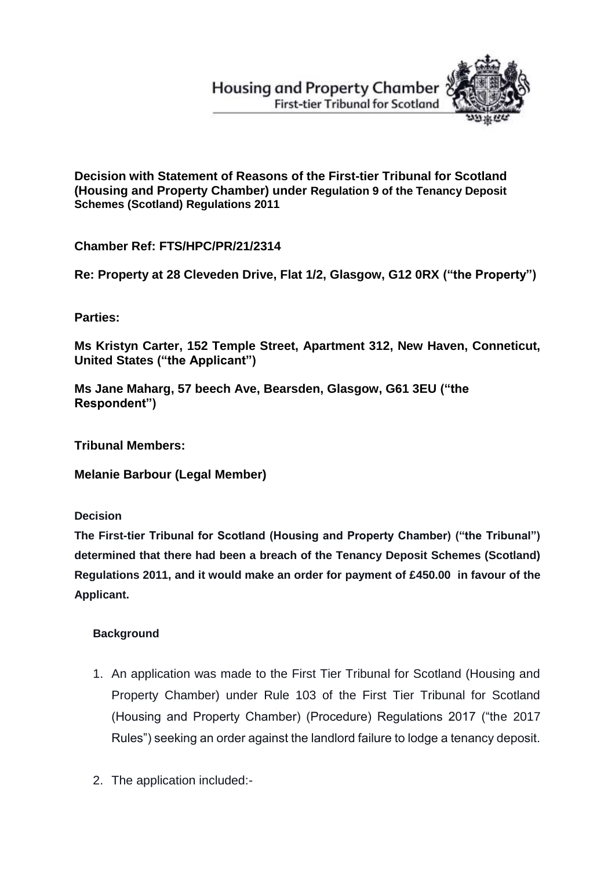**Housing and Property Chamber First-tier Tribunal for Scotland** 



**Decision with Statement of Reasons of the First-tier Tribunal for Scotland (Housing and Property Chamber) under Regulation 9 of the Tenancy Deposit Schemes (Scotland) Regulations 2011**

**Chamber Ref: FTS/HPC/PR/21/2314**

**Re: Property at 28 Cleveden Drive, Flat 1/2, Glasgow, G12 0RX ("the Property")**

**Parties:**

**Ms Kristyn Carter, 152 Temple Street, Apartment 312, New Haven, Conneticut, United States ("the Applicant")**

**Ms Jane Maharg, 57 beech Ave, Bearsden, Glasgow, G61 3EU ("the Respondent")** 

**Tribunal Members:**

**Melanie Barbour (Legal Member)**

**Decision**

**The First-tier Tribunal for Scotland (Housing and Property Chamber) ("the Tribunal") determined that there had been a breach of the Tenancy Deposit Schemes (Scotland) Regulations 2011, and it would make an order for payment of £450.00 in favour of the Applicant.**

# **Background**

- 1. An application was made to the First Tier Tribunal for Scotland (Housing and Property Chamber) under Rule 103 of the First Tier Tribunal for Scotland (Housing and Property Chamber) (Procedure) Regulations 2017 ("the 2017 Rules") seeking an order against the landlord failure to lodge a tenancy deposit.
- 2. The application included:-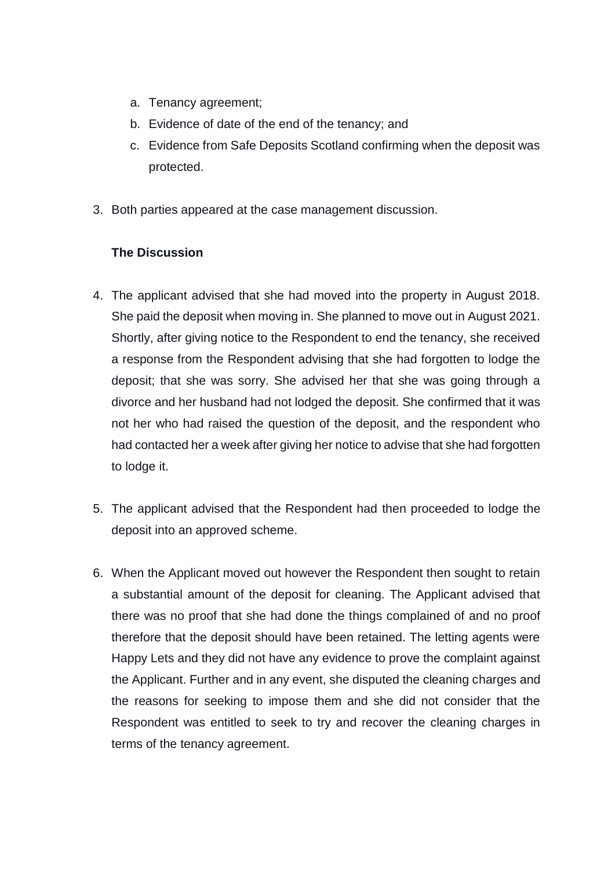- a. Tenancy agreement;
- b. Evidence of date of the end of the tenancy; and
- c. Evidence from Safe Deposits Scotland confirming when the deposit was protected.
- 3. Both parties appeared at the case management discussion.

## **The Discussion**

- 4. The applicant advised that she had moved into the property in August 2018. She paid the deposit when moving in. She planned to move out in August 2021. Shortly, after giving notice to the Respondent to end the tenancy, she received a response from the Respondent advising that she had forgotten to lodge the deposit; that she was sorry. She advised her that she was going through a divorce and her husband had not lodged the deposit. She confirmed that it was not her who had raised the question of the deposit, and the respondent who had contacted her a week after giving her notice to advise that she had forgotten to lodge it.
- 5. The applicant advised that the Respondent had then proceeded to lodge the deposit into an approved scheme.
- 6. When the Applicant moved out however the Respondent then sought to retain a substantial amount of the deposit for cleaning. The Applicant advised that there was no proof that she had done the things complained of and no proof therefore that the deposit should have been retained. The letting agents were Happy Lets and they did not have any evidence to prove the complaint against the Applicant. Further and in any event, she disputed the cleaning charges and the reasons for seeking to impose them and she did not consider that the Respondent was entitled to seek to try and recover the cleaning charges in terms of the tenancy agreement.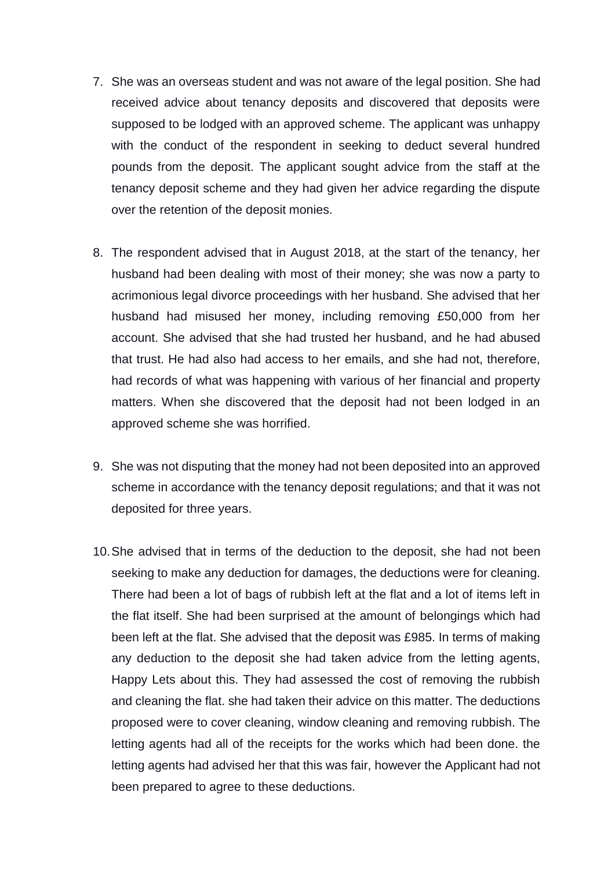- 7. She was an overseas student and was not aware of the legal position. She had received advice about tenancy deposits and discovered that deposits were supposed to be lodged with an approved scheme. The applicant was unhappy with the conduct of the respondent in seeking to deduct several hundred pounds from the deposit. The applicant sought advice from the staff at the tenancy deposit scheme and they had given her advice regarding the dispute over the retention of the deposit monies.
- 8. The respondent advised that in August 2018, at the start of the tenancy, her husband had been dealing with most of their money; she was now a party to acrimonious legal divorce proceedings with her husband. She advised that her husband had misused her money, including removing £50,000 from her account. She advised that she had trusted her husband, and he had abused that trust. He had also had access to her emails, and she had not, therefore, had records of what was happening with various of her financial and property matters. When she discovered that the deposit had not been lodged in an approved scheme she was horrified.
- 9. She was not disputing that the money had not been deposited into an approved scheme in accordance with the tenancy deposit regulations; and that it was not deposited for three years.
- 10.She advised that in terms of the deduction to the deposit, she had not been seeking to make any deduction for damages, the deductions were for cleaning. There had been a lot of bags of rubbish left at the flat and a lot of items left in the flat itself. She had been surprised at the amount of belongings which had been left at the flat. She advised that the deposit was £985. In terms of making any deduction to the deposit she had taken advice from the letting agents, Happy Lets about this. They had assessed the cost of removing the rubbish and cleaning the flat. she had taken their advice on this matter. The deductions proposed were to cover cleaning, window cleaning and removing rubbish. The letting agents had all of the receipts for the works which had been done. the letting agents had advised her that this was fair, however the Applicant had not been prepared to agree to these deductions.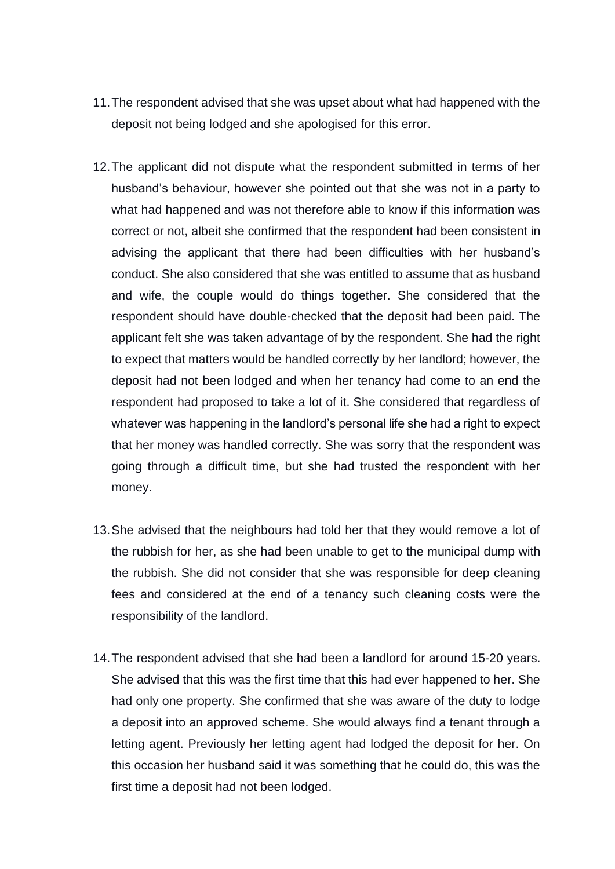- 11.The respondent advised that she was upset about what had happened with the deposit not being lodged and she apologised for this error.
- 12.The applicant did not dispute what the respondent submitted in terms of her husband's behaviour, however she pointed out that she was not in a party to what had happened and was not therefore able to know if this information was correct or not, albeit she confirmed that the respondent had been consistent in advising the applicant that there had been difficulties with her husband's conduct. She also considered that she was entitled to assume that as husband and wife, the couple would do things together. She considered that the respondent should have double-checked that the deposit had been paid. The applicant felt she was taken advantage of by the respondent. She had the right to expect that matters would be handled correctly by her landlord; however, the deposit had not been lodged and when her tenancy had come to an end the respondent had proposed to take a lot of it. She considered that regardless of whatever was happening in the landlord's personal life she had a right to expect that her money was handled correctly. She was sorry that the respondent was going through a difficult time, but she had trusted the respondent with her money.
- 13.She advised that the neighbours had told her that they would remove a lot of the rubbish for her, as she had been unable to get to the municipal dump with the rubbish. She did not consider that she was responsible for deep cleaning fees and considered at the end of a tenancy such cleaning costs were the responsibility of the landlord.
- 14.The respondent advised that she had been a landlord for around 15-20 years. She advised that this was the first time that this had ever happened to her. She had only one property. She confirmed that she was aware of the duty to lodge a deposit into an approved scheme. She would always find a tenant through a letting agent. Previously her letting agent had lodged the deposit for her. On this occasion her husband said it was something that he could do, this was the first time a deposit had not been lodged.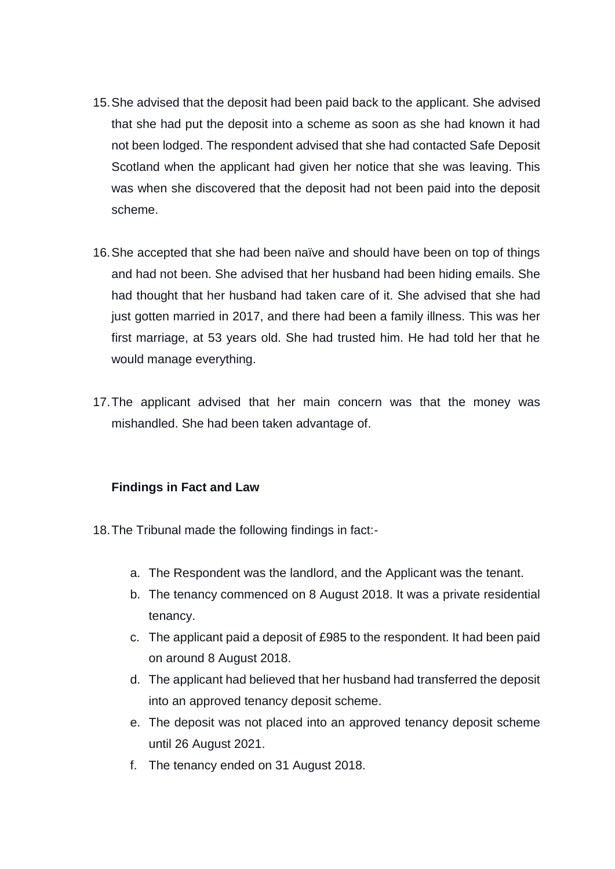- 15.She advised that the deposit had been paid back to the applicant. She advised that she had put the deposit into a scheme as soon as she had known it had not been lodged. The respondent advised that she had contacted Safe Deposit Scotland when the applicant had given her notice that she was leaving. This was when she discovered that the deposit had not been paid into the deposit scheme.
- 16.She accepted that she had been naïve and should have been on top of things and had not been. She advised that her husband had been hiding emails. She had thought that her husband had taken care of it. She advised that she had just gotten married in 2017, and there had been a family illness. This was her first marriage, at 53 years old. She had trusted him. He had told her that he would manage everything.
- 17.The applicant advised that her main concern was that the money was mishandled. She had been taken advantage of.

### **Findings in Fact and Law**

- 18.The Tribunal made the following findings in fact:
	- a. The Respondent was the landlord, and the Applicant was the tenant.
	- b. The tenancy commenced on 8 August 2018. It was a private residential tenancy.
	- c. The applicant paid a deposit of £985 to the respondent. It had been paid on around 8 August 2018.
	- d. The applicant had believed that her husband had transferred the deposit into an approved tenancy deposit scheme.
	- e. The deposit was not placed into an approved tenancy deposit scheme until 26 August 2021.
	- f. The tenancy ended on 31 August 2018.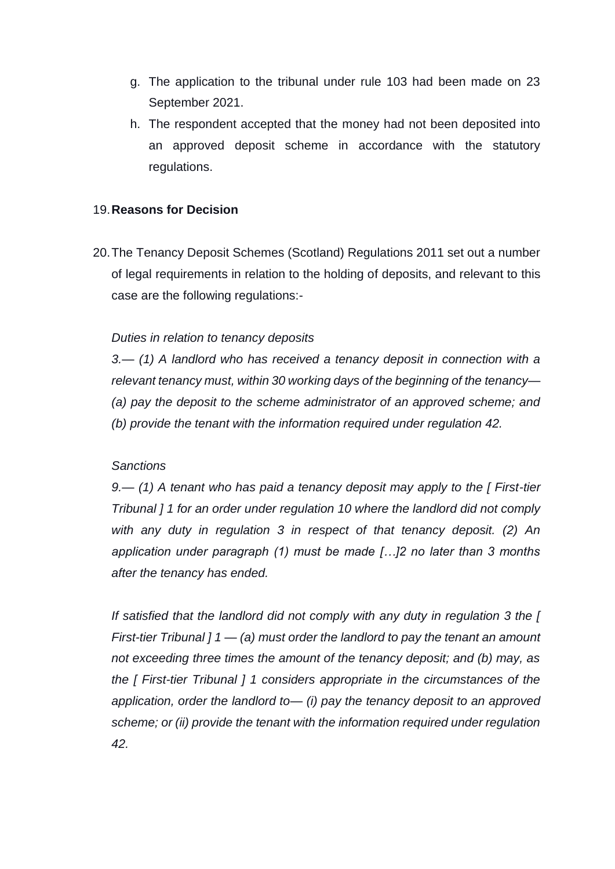- g. The application to the tribunal under rule 103 had been made on 23 September 2021.
- h. The respondent accepted that the money had not been deposited into an approved deposit scheme in accordance with the statutory regulations.

### 19.**Reasons for Decision**

20.The Tenancy Deposit Schemes (Scotland) Regulations 2011 set out a number of legal requirements in relation to the holding of deposits, and relevant to this case are the following regulations:-

#### *Duties in relation to tenancy deposits*

*3.— (1) A landlord who has received a tenancy deposit in connection with a relevant tenancy must, within 30 working days of the beginning of the tenancy— (a) pay the deposit to the scheme administrator of an approved scheme; and (b) provide the tenant with the information required under regulation 42.*

#### *Sanctions*

*9.— (1) A tenant who has paid a tenancy deposit may apply to the [ First-tier Tribunal ] 1 for an order under regulation 10 where the landlord did not comply with any duty in regulation 3 in respect of that tenancy deposit. (2) An application under paragraph (1) must be made […]2 no later than 3 months after the tenancy has ended.*

*If satisfied that the landlord did not comply with any duty in regulation 3 the [ First-tier Tribunal ] 1 — (a) must order the landlord to pay the tenant an amount not exceeding three times the amount of the tenancy deposit; and (b) may, as the [ First-tier Tribunal ] 1 considers appropriate in the circumstances of the application, order the landlord to— (i) pay the tenancy deposit to an approved scheme; or (ii) provide the tenant with the information required under regulation 42.*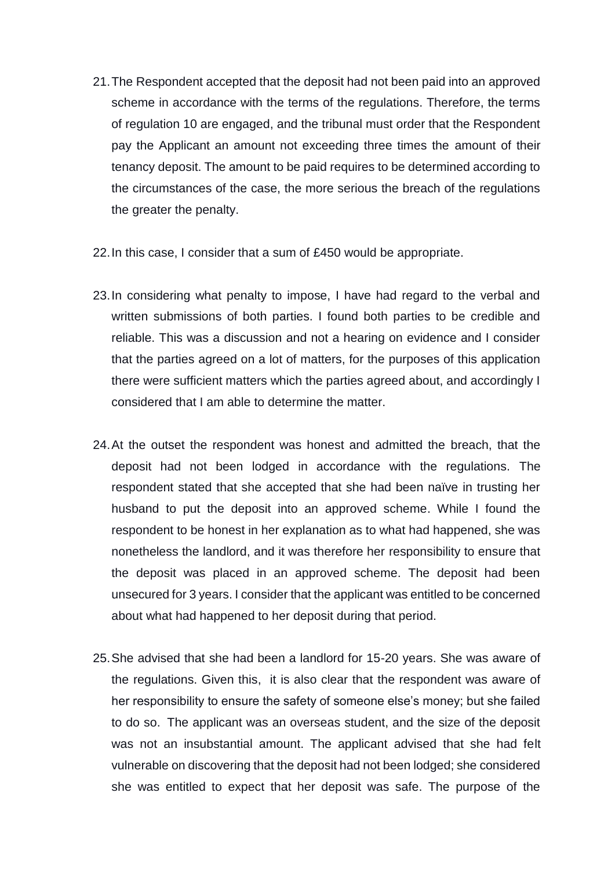- 21.The Respondent accepted that the deposit had not been paid into an approved scheme in accordance with the terms of the regulations. Therefore, the terms of regulation 10 are engaged, and the tribunal must order that the Respondent pay the Applicant an amount not exceeding three times the amount of their tenancy deposit. The amount to be paid requires to be determined according to the circumstances of the case, the more serious the breach of the regulations the greater the penalty.
- 22.In this case, I consider that a sum of £450 would be appropriate.
- 23.In considering what penalty to impose, I have had regard to the verbal and written submissions of both parties. I found both parties to be credible and reliable. This was a discussion and not a hearing on evidence and I consider that the parties agreed on a lot of matters, for the purposes of this application there were sufficient matters which the parties agreed about, and accordingly I considered that I am able to determine the matter.
- 24.At the outset the respondent was honest and admitted the breach, that the deposit had not been lodged in accordance with the regulations. The respondent stated that she accepted that she had been naïve in trusting her husband to put the deposit into an approved scheme. While I found the respondent to be honest in her explanation as to what had happened, she was nonetheless the landlord, and it was therefore her responsibility to ensure that the deposit was placed in an approved scheme. The deposit had been unsecured for 3 years. I consider that the applicant was entitled to be concerned about what had happened to her deposit during that period.
- 25.She advised that she had been a landlord for 15-20 years. She was aware of the regulations. Given this, it is also clear that the respondent was aware of her responsibility to ensure the safety of someone else's money; but she failed to do so. The applicant was an overseas student, and the size of the deposit was not an insubstantial amount. The applicant advised that she had felt vulnerable on discovering that the deposit had not been lodged; she considered she was entitled to expect that her deposit was safe. The purpose of the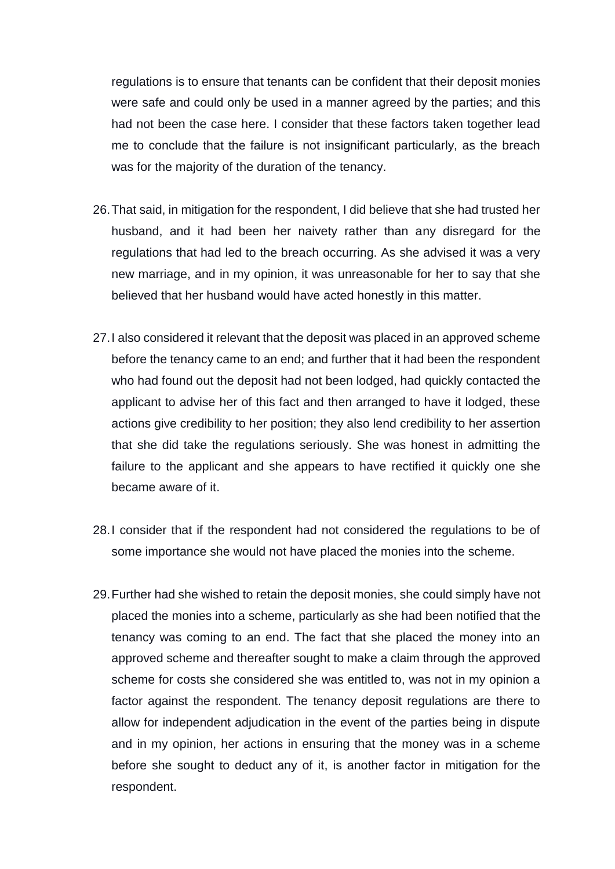regulations is to ensure that tenants can be confident that their deposit monies were safe and could only be used in a manner agreed by the parties; and this had not been the case here. I consider that these factors taken together lead me to conclude that the failure is not insignificant particularly, as the breach was for the majority of the duration of the tenancy.

- 26.That said, in mitigation for the respondent, I did believe that she had trusted her husband, and it had been her naivety rather than any disregard for the regulations that had led to the breach occurring. As she advised it was a very new marriage, and in my opinion, it was unreasonable for her to say that she believed that her husband would have acted honestly in this matter.
- 27.I also considered it relevant that the deposit was placed in an approved scheme before the tenancy came to an end; and further that it had been the respondent who had found out the deposit had not been lodged, had quickly contacted the applicant to advise her of this fact and then arranged to have it lodged, these actions give credibility to her position; they also lend credibility to her assertion that she did take the regulations seriously. She was honest in admitting the failure to the applicant and she appears to have rectified it quickly one she became aware of it.
- 28.I consider that if the respondent had not considered the regulations to be of some importance she would not have placed the monies into the scheme.
- 29.Further had she wished to retain the deposit monies, she could simply have not placed the monies into a scheme, particularly as she had been notified that the tenancy was coming to an end. The fact that she placed the money into an approved scheme and thereafter sought to make a claim through the approved scheme for costs she considered she was entitled to, was not in my opinion a factor against the respondent. The tenancy deposit regulations are there to allow for independent adjudication in the event of the parties being in dispute and in my opinion, her actions in ensuring that the money was in a scheme before she sought to deduct any of it, is another factor in mitigation for the respondent.